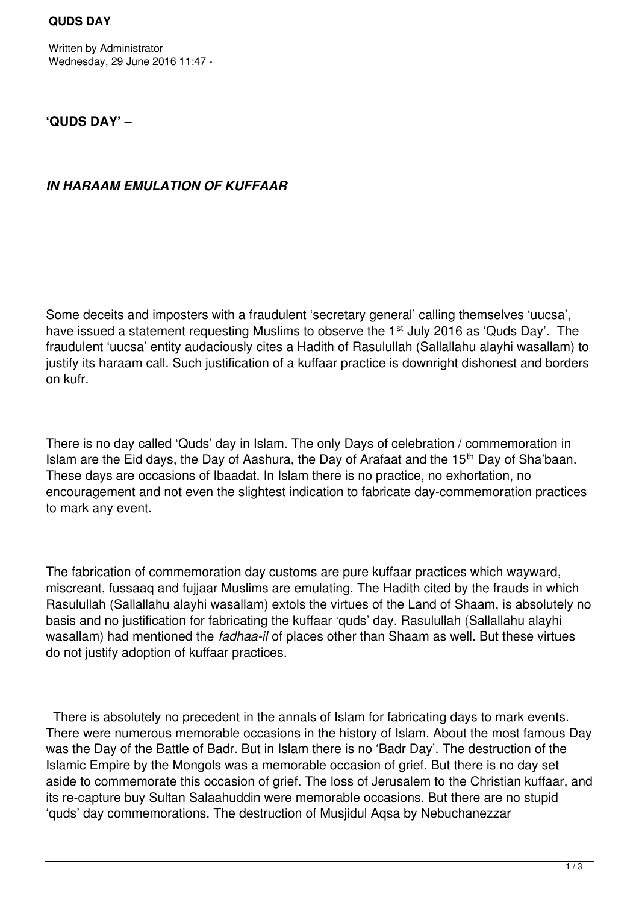# **'QUDS DAY' –**

# *IN HARAAM EMULATION OF KUFFAAR*

Some deceits and imposters with a fraudulent 'secretary general' calling themselves 'uucsa', have issued a statement requesting Muslims to observe the 1<sup>st</sup> July 2016 as 'Quds Day'. The fraudulent 'uucsa' entity audaciously cites a Hadith of Rasulullah (Sallallahu alayhi wasallam) to justify its haraam call. Such justification of a kuffaar practice is downright dishonest and borders on kufr.

There is no day called 'Quds' day in Islam. The only Days of celebration / commemoration in Islam are the Eid days, the Day of Aashura, the Day of Arafaat and the 15th Day of Sha'baan. These days are occasions of Ibaadat. In Islam there is no practice, no exhortation, no encouragement and not even the slightest indication to fabricate day-commemoration practices to mark any event.

The fabrication of commemoration day customs are pure kuffaar practices which wayward, miscreant, fussaaq and fujjaar Muslims are emulating. The Hadith cited by the frauds in which Rasulullah (Sallallahu alayhi wasallam) extols the virtues of the Land of Shaam, is absolutely no basis and no justification for fabricating the kuffaar 'quds' day. Rasulullah (Sallallahu alayhi wasallam) had mentioned the *fadhaa-il* of places other than Shaam as well. But these virtues do not justify adoption of kuffaar practices.

 There is absolutely no precedent in the annals of Islam for fabricating days to mark events. There were numerous memorable occasions in the history of Islam. About the most famous Day was the Day of the Battle of Badr. But in Islam there is no 'Badr Day'. The destruction of the Islamic Empire by the Mongols was a memorable occasion of grief. But there is no day set aside to commemorate this occasion of grief. The loss of Jerusalem to the Christian kuffaar, and its re-capture buy Sultan Salaahuddin were memorable occasions. But there are no stupid 'quds' day commemorations. The destruction of Musjidul Aqsa by Nebuchanezzar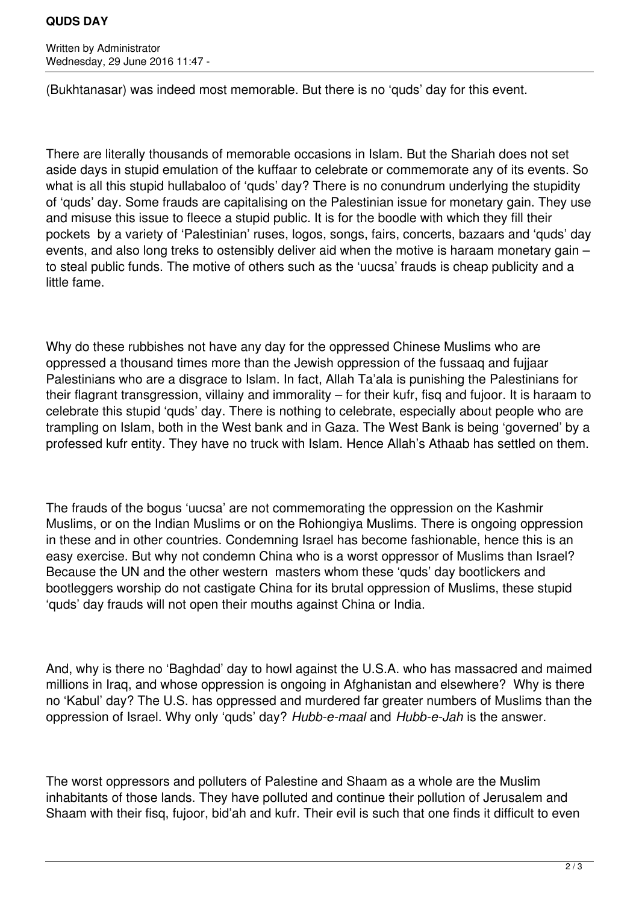### **QUDS DAY**

Written by Administrator Wednesday, 29 June 2016 11:47 -

(Bukhtanasar) was indeed most memorable. But there is no 'quds' day for this event.

There are literally thousands of memorable occasions in Islam. But the Shariah does not set aside days in stupid emulation of the kuffaar to celebrate or commemorate any of its events. So what is all this stupid hullabaloo of 'quds' day? There is no conundrum underlying the stupidity of 'quds' day. Some frauds are capitalising on the Palestinian issue for monetary gain. They use and misuse this issue to fleece a stupid public. It is for the boodle with which they fill their pockets by a variety of 'Palestinian' ruses, logos, songs, fairs, concerts, bazaars and 'quds' day events, and also long treks to ostensibly deliver aid when the motive is haraam monetary gain – to steal public funds. The motive of others such as the 'uucsa' frauds is cheap publicity and a little fame.

Why do these rubbishes not have any day for the oppressed Chinese Muslims who are oppressed a thousand times more than the Jewish oppression of the fussaaq and fujjaar Palestinians who are a disgrace to Islam. In fact, Allah Ta'ala is punishing the Palestinians for their flagrant transgression, villainy and immorality – for their kufr, fisq and fujoor. It is haraam to celebrate this stupid 'quds' day. There is nothing to celebrate, especially about people who are trampling on Islam, both in the West bank and in Gaza. The West Bank is being 'governed' by a professed kufr entity. They have no truck with Islam. Hence Allah's Athaab has settled on them.

The frauds of the bogus 'uucsa' are not commemorating the oppression on the Kashmir Muslims, or on the Indian Muslims or on the Rohiongiya Muslims. There is ongoing oppression in these and in other countries. Condemning Israel has become fashionable, hence this is an easy exercise. But why not condemn China who is a worst oppressor of Muslims than Israel? Because the UN and the other western masters whom these 'quds' day bootlickers and bootleggers worship do not castigate China for its brutal oppression of Muslims, these stupid 'quds' day frauds will not open their mouths against China or India.

And, why is there no 'Baghdad' day to howl against the U.S.A. who has massacred and maimed millions in Iraq, and whose oppression is ongoing in Afghanistan and elsewhere? Why is there no 'Kabul' day? The U.S. has oppressed and murdered far greater numbers of Muslims than the oppression of Israel. Why only 'quds' day? *Hubb-e-maal* and *Hubb-e-Jah* is the answer.

The worst oppressors and polluters of Palestine and Shaam as a whole are the Muslim inhabitants of those lands. They have polluted and continue their pollution of Jerusalem and Shaam with their fisq, fujoor, bid'ah and kufr. Their evil is such that one finds it difficult to even